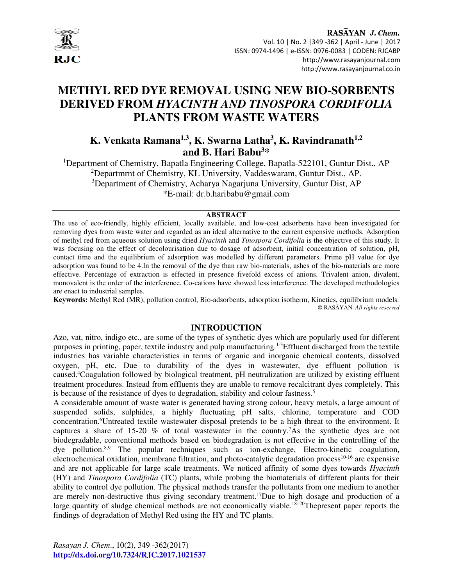

# **METHYL RED DYE REMOVAL USING NEW BIO-SORBENTS DERIVED FROM** *HYACINTH AND TINOSPORA CORDIFOLIA*  **PLANTS FROM WASTE WATERS**

## **K. Venkata Ramana1,3, K. Swarna Latha<sup>3</sup> , K. Ravindranath1,2 and B. Hari Babu<sup>3</sup>\***

<sup>1</sup>Department of Chemistry, Bapatla Engineering College, Bapatla-522101, Guntur Dist., AP <sup>2</sup>Departmrnt of Chemistry, KL University, Vaddeswaram, Guntur Dist., AP. <sup>3</sup>Department of Chemistry, Acharya Nagarjuna University, Guntur Dist, AP \*E-mail: dr.b.haribabu@gmail.com

#### **ABSTRACT**

The use of eco-friendly, highly efficient, locally available, and low-cost adsorbents have been investigated for removing dyes from waste water and regarded as an ideal alternative to the current expensive methods. Adsorption of methyl red from aqueous solution using dried *Hyacinth* and *Tinospora Cordifolia* is the objective of this study. It was focusing on the effect of decolourisation due to dosage of adsorbent, initial concentration of solution, pH, contact time and the equilibrium of adsorption was modelled by different parameters. Prime pH value for dye adsorption was found to be 4.In the removal of the dye than raw bio-materials, ashes of the bio-materials are more effective. Percentage of extraction is effected in presence fivefold excess of anions. Trivalent anion, divalent, monovalent is the order of the interference. Co-cations have showed less interference. The developed methodologies are enact to industrial samples.

**Keywords:** Methyl Red (MR), pollution control, Bio-adsorbents, adsorption isotherm, Kinetics, equilibrium models. © RASĀYAN. *All rights reserved*

## **INTRODUCTION**

Azo, vat, nitro, indigo etc., are some of the types of synthetic dyes which are popularly used for different purposes in printing, paper, textile industry and pulp manufacturing.1-3Effluent discharged from the textile industries has variable characteristics in terms of organic and inorganic chemical contents, dissolved oxygen, pH, etc. Due to durability of the dyes in wastewater, dye effluent pollution is caused.<sup>4</sup>Coagulation followed by biological treatment, pH neutralization are utilized by existing effluent treatment procedures. Instead from effluents they are unable to remove recalcitrant dyes completely. This is because of the resistance of dyes to degradation, stability and colour fastness.<sup>5</sup>

A considerable amount of waste water is generated having strong colour, heavy metals, a large amount of suspended solids, sulphides, a highly fluctuating pH salts, chlorine, temperature and COD concentration.<sup>6</sup>Untreated textile wastewater disposal pretends to be a high threat to the environment. It captures a share of 15-20  $\%$  of total wastewater in the country.<sup>7</sup>As the synthetic dyes are not biodegradable, conventional methods based on biodegradation is not effective in the controlling of the dye pollution.8,9 The popular techniques such as ion-exchange, Electro-kinetic coagulation, electrochemical oxidation, membrane filtration, and photo-catalytic degradation process<sup>10-16</sup> are expensive and are not applicable for large scale treatments. We noticed affinity of some dyes towards *Hyacinth*  (HY) and *Tinospora Cordifolia* (TC) plants, while probing the biomaterials of different plants for their ability to control dye pollution. The physical methods transfer the pollutants from one medium to another are merely non-destructive thus giving secondary treatment.<sup>17</sup>Due to high dosage and production of a large quantity of sludge chemical methods are not economically viable.<sup>18–20</sup>Thepresent paper reports the findings of degradation of Methyl Red using the HY and TC plants.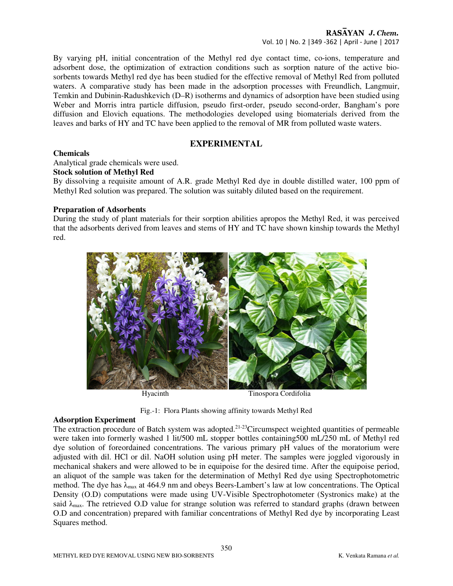By varying pH, initial concentration of the Methyl red dye contact time, co-ions, temperature and adsorbent dose, the optimization of extraction conditions such as sorption nature of the active biosorbents towards Methyl red dye has been studied for the effective removal of Methyl Red from polluted waters. A comparative study has been made in the adsorption processes with Freundlich, Langmuir, Temkin and Dubinin-Radushkevich (D–R) isotherms and dynamics of adsorption have been studied using Weber and Morris intra particle diffusion, pseudo first-order, pseudo second-order, Bangham's pore diffusion and Elovich equations. The methodologies developed using biomaterials derived from the leaves and barks of HY and TC have been applied to the removal of MR from polluted waste waters.

## **EXPERIMENTAL**

#### **Chemicals**

Analytical grade chemicals were used.

#### **Stock solution of Methyl Red**

By dissolving a requisite amount of A.R. grade Methyl Red dye in double distilled water, 100 ppm of Methyl Red solution was prepared. The solution was suitably diluted based on the requirement.

#### **Preparation of Adsorbents**

During the study of plant materials for their sorption abilities apropos the Methyl Red, it was perceived that the adsorbents derived from leaves and stems of HY and TC have shown kinship towards the Methyl red.



Fig.-1: Flora Plants showing affinity towards Methyl Red

## **Adsorption Experiment**

The extraction procedure of Batch system was adopted.<sup>21-23</sup>Circumspect weighted quantities of permeable were taken into formerly washed 1 lit/500 mL stopper bottles containing500 mL/250 mL of Methyl red dye solution of foreordained concentrations. The various primary pH values of the moratorium were adjusted with dil. HCl or dil. NaOH solution using pH meter. The samples were joggled vigorously in mechanical shakers and were allowed to be in equipoise for the desired time. After the equipoise period, an aliquot of the sample was taken for the determination of Methyl Red dye using Spectrophotometric method. The dye has  $\lambda_{\text{max}}$  at 464.9 nm and obeys Beers-Lambert's law at low concentrations. The Optical Density (O.D) computations were made using UV-Visible Spectrophotometer (Systronics make) at the said  $\lambda_{\text{max}}$ . The retrieved O.D value for strange solution was referred to standard graphs (drawn between O.D and concentration) prepared with familiar concentrations of Methyl Red dye by incorporating Least Squares method.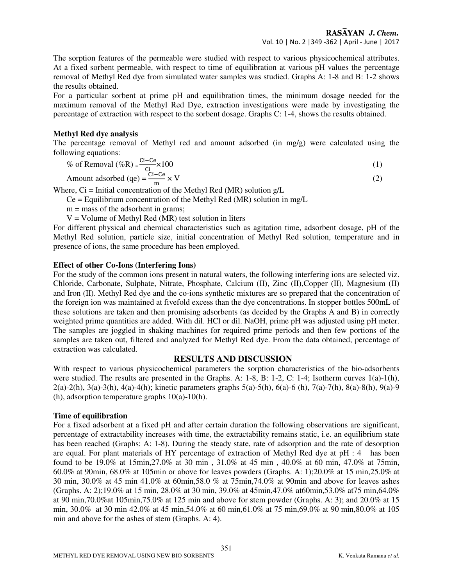The sorption features of the permeable were studied with respect to various physicochemical attributes. At a fixed sorbent permeable, with respect to time of equilibration at various pH values the percentage removal of Methyl Red dye from simulated water samples was studied. Graphs A: 1-8 and B: 1-2 shows the results obtained.

For a particular sorbent at prime pH and equilibration times, the minimum dosage needed for the maximum removal of the Methyl Red Dye, extraction investigations were made by investigating the percentage of extraction with respect to the sorbent dosage. Graphs C: 1-4, shows the results obtained.

#### **Methyl Red dye analysis**

The percentage removal of Methyl red and amount adsorbed (in mg/g) were calculated using the following equations:

$$
\% \text{ of Removal } (\% \text{R}) = \frac{\text{Ci} - \text{Ce}}{\text{Ci}} \times 100 \tag{1}
$$

Amount adsorbed (qe) = 
$$
\frac{\text{Ci} - \text{Ce}}{\text{m}} \times \text{V}
$$
 (2)

Where,  $Ci$  = Initial concentration of the Methyl Red (MR) solution  $g/L$ 

 $Ce = Equilibrium concentration of the Methyl Red (MR) solution in mg/L$ 

 $m =$  mass of the adsorbent in grams;

 $V =$  Volume of Methyl Red (MR) test solution in liters

For different physical and chemical characteristics such as agitation time, adsorbent dosage, pH of the Methyl Red solution, particle size, initial concentration of Methyl Red solution, temperature and in presence of ions, the same procedure has been employed.

## **Effect of other Co-Ions (Interfering Ions)**

For the study of the common ions present in natural waters, the following interfering ions are selected viz. Chloride, Carbonate, Sulphate, Nitrate, Phosphate, Calcium (II), Zinc (II),Copper (II), Magnesium (II) and Iron (II). Methyl Red dye and the co-ions synthetic mixtures are so prepared that the concentration of the foreign ion was maintained at fivefold excess than the dye concentrations. In stopper bottles 500mL of these solutions are taken and then promising adsorbents (as decided by the Graphs A and B) in correctly weighted prime quantities are added. With dil. HCl or dil. NaOH, prime pH was adjusted using pH meter. The samples are joggled in shaking machines for required prime periods and then few portions of the samples are taken out, filtered and analyzed for Methyl Red dye. From the data obtained, percentage of extraction was calculated.

## **RESULTS AND DISCUSSION**

With respect to various physicochemical parameters the sorption characteristics of the bio-adsorbents were studied. The results are presented in the Graphs. A: 1-8, B: 1-2, C: 1-4; Isotherm curves 1(a)-1(h), 2(a)-2(h), 3(a)-3(h), 4(a)-4(h); kinetic parameters graphs 5(a)-5(h), 6(a)-6 (h), 7(a)-7(h), 8(a)-8(h), 9(a)-9 (h), adsorption temperature graphs 10(a)-10(h).

## **Time of equilibration**

For a fixed adsorbent at a fixed pH and after certain duration the following observations are significant, percentage of extractability increases with time, the extractability remains static, i.e. an equilibrium state has been reached (Graphs: A: 1-8). During the steady state, rate of adsorption and the rate of desorption are equal. For plant materials of HY percentage of extraction of Methyl Red dye at pH : 4 has been found to be 19.0% at 15min,27.0% at 30 min , 31.0% at 45 min , 40.0% at 60 min, 47.0% at 75min, 60.0% at 90min, 68.0% at 105min or above for leaves powders (Graphs. A: 1);20.0% at 15 min,25.0% at 30 min, 30.0% at 45 min 41.0% at 60min,58.0 % at 75min,74.0% at 90min and above for leaves ashes (Graphs. A: 2);19.0% at 15 min, 28.0% at 30 min, 39.0% at 45min,47.0% at60min,53.0% at75 min,64.0% at 90 min,70.0%at 105min,75.0% at 125 min and above for stem powder (Graphs. A: 3); and 20.0% at 15 min, 30.0% at 30 min 42.0% at 45 min,54.0% at 60 min,61.0% at 75 min,69.0% at 90 min,80.0% at 105 min and above for the ashes of stem (Graphs. A: 4).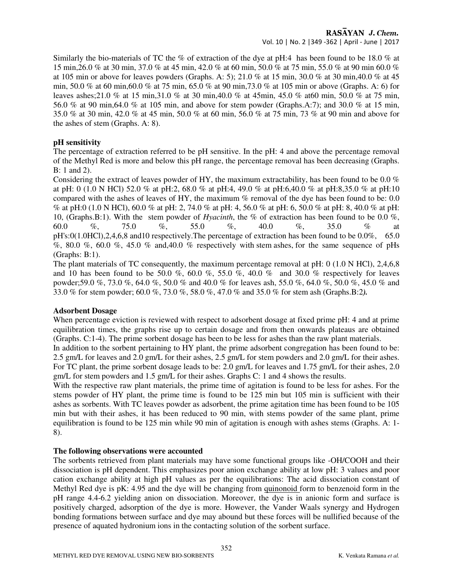Vol. 10 | No. 2 |349 -362 | April - June | 2017

Similarly the bio-materials of TC the % of extraction of the dye at pH:4 has been found to be 18.0 % at 15 min,26.0 % at 30 min, 37.0 % at 45 min, 42.0 % at 60 min, 50.0 % at 75 min, 55.0 % at 90 min 60.0 % at 105 min or above for leaves powders (Graphs. A: 5); 21.0 % at 15 min, 30.0 % at 30 min,40.0 % at 45 min, 50.0 % at 60 min,60.0 % at 75 min, 65.0 % at 90 min,73.0 % at 105 min or above (Graphs. A: 6) for leaves ashes;21.0 % at 15 min,31.0 % at 30 min,40.0 % at 45min, 45.0 % at60 min, 50.0 % at 75 min, 56.0 % at 90 min,64.0 % at 105 min, and above for stem powder (Graphs.A:7); and 30.0 % at 15 min, 35.0 % at 30 min, 42.0 % at 45 min, 50.0 % at 60 min, 56.0 % at 75 min, 73 % at 90 min and above for the ashes of stem (Graphs. A: 8).

## **pH sensitivity**

The percentage of extraction referred to be pH sensitive. In the pH: 4 and above the percentage removal of the Methyl Red is more and below this pH range, the percentage removal has been decreasing (Graphs. B: 1 and 2).

Considering the extract of leaves powder of HY, the maximum extractability, has been found to be 0.0  $\%$ at pH: 0 (1.0 N HCl) 52.0 % at pH:2, 68.0 % at pH:4, 49.0 % at pH:6,40.0 % at pH:8,35.0 % at pH:10 compared with the ashes of leaves of HY, the maximum % removal of the dye has been found to be: 0.0 % at pH:0 (1.0 N HCl), 60.0 % at pH: 2, 74.0 % at pH: 4, 56.0 % at pH: 6, 50.0 % at pH: 8, 40.0 % at pH: 10, (Graphs.B:1). With the stem powder of *Hyacinth*, the % of extraction has been found to be 0.0 %, 60.0 %, 75.0 %, 55.0 %, 40.0 %, 35.0 % at pH's:0(1.0HCl),2,4,6,8 and10 respectively.The percentage of extraction has been found to be 0.0%, 65.0 %, 80.0 %, 60.0 %, 45.0 % and,40.0 % respectively with stem ashes, for the same sequence of pHs (Graphs: B:1).

The plant materials of TC consequently, the maximum percentage removal at pH: 0 (1.0 N HCl), 2,4,6,8 and 10 has been found to be 50.0 %, 60.0 %, 55.0 %, 40.0 % and 30.0 % respectively for leaves powder;59.0 %, 73.0 %, 64.0 %, 50.0 % and 40.0 % for leaves ash, 55.0 %, 64.0 %, 50.0 %, 45.0 % and 33.0 % for stem powder; 60.0 %, 73.0 %, 58.0 %, 47.0 % and 35.0 % for stem ash (Graphs.B:2*).* 

#### **Adsorbent Dosage**

When percentage eviction is reviewed with respect to adsorbent dosage at fixed prime pH: 4 and at prime equilibration times, the graphs rise up to certain dosage and from then onwards plateaus are obtained (Graphs. C:1-4). The prime sorbent dosage has been to be less for ashes than the raw plant materials.

In addition to the sorbent pertaining to HY plant, the prime adsorbent congregation has been found to be: 2.5 gm/L for leaves and 2.0 gm/L for their ashes, 2.5 gm/L for stem powders and 2.0 gm/L for their ashes. For TC plant, the prime sorbent dosage leads to be: 2.0 gm/L for leaves and 1.75 gm/L for their ashes, 2.0 gm/L for stem powders and 1.5 gm/L for their ashes. Graphs C: 1 and 4 shows the results.

With the respective raw plant materials, the prime time of agitation is found to be less for ashes. For the stems powder of HY plant, the prime time is found to be 125 min but 105 min is sufficient with their ashes as sorbents. With TC leaves powder as adsorbent, the prime agitation time has been found to be 105 min but with their ashes, it has been reduced to 90 min, with stems powder of the same plant, prime equilibration is found to be 125 min while 90 min of agitation is enough with ashes stems (Graphs. A: 1- 8).

## **The following observations were accounted**

The sorbents retrieved from plant materials may have some functional groups like -OH/COOH and their dissociation is pH dependent. This emphasizes poor anion exchange ability at low pH: 3 values and poor cation exchange ability at high pH values as per the equilibrations: The acid dissociation constant of Methyl Red dye is pK: 4.95 and the dye will be changing from quinonoid form to benzenoid form in the pH range 4.4-6.2 yielding anion on dissociation. Moreover, the dye is in anionic form and surface is positively charged, adsorption of the dye is more. However, the Vander Waals synergy and Hydrogen bonding formations between surface and dye may abound but these forces will be nullified because of the presence of aquated hydronium ions in the contacting solution of the sorbent surface.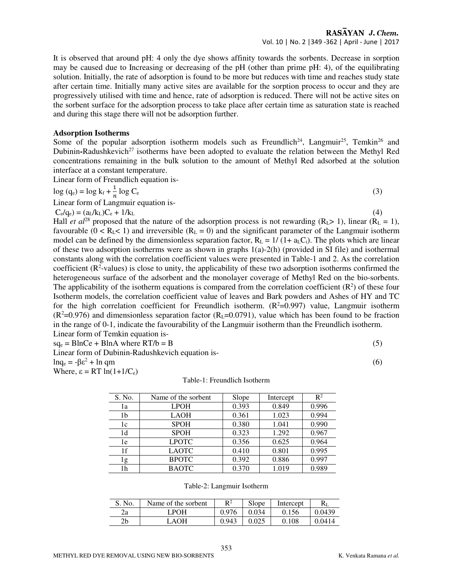#### RASAYAN J. Chem. Vol. 10 | No. 2 |349 -362 | April - June | 2017

It is observed that around pH: 4 only the dye shows affinity towards the sorbents. Decrease in sorption may be caused due to Increasing or decreasing of the pH (other than prime pH: 4), of the equilibrating solution. Initially, the rate of adsorption is found to be more but reduces with time and reaches study state after certain time. Initially many active sites are available for the sorption process to occur and they are progressively utilised with time and hence, rate of adsorption is reduced. There will not be active sites on the sorbent surface for the adsorption process to take place after certain time as saturation state is reached and during this stage there will not be adsorption further.

#### **Adsorption Isotherms**

Some of the popular adsorption isotherm models such as Freundlich<sup>24</sup>, Langmuir<sup>25</sup>, Temkin<sup>26</sup> and Dubinin-Radushkevich<sup>27</sup> isotherms have been adopted to evaluate the relation between the Methyl Red concentrations remaining in the bulk solution to the amount of Methyl Red adsorbed at the solution interface at a constant temperature.

Linear form of Freundlich equation is-

$$
\log\left(q_e\right) = \log k_f + \frac{1}{n} \log C_e \tag{3}
$$

Linear form of Langmuir equation is-

 $C_e / q_e$ ) = (a<sub>L</sub>/k<sub>L</sub>)C<sub>e</sub> + 1/k<sub>L</sub> (4)

Hall *et al*<sup>28</sup> proposed that the nature of the adsorption process is not rewarding  $(R_1 > 1)$ , linear  $(R_1 = 1)$ , favourable  $(0 < R<sub>L</sub> < 1)$  and irreversible  $(R<sub>L</sub> = 0)$  and the significant parameter of the Langmuir isotherm model can be defined by the dimensionless separation factor,  $R_L = 1/(1 + a_L C_i)$ . The plots which are linear of these two adsorption isotherms were as shown in graphs  $1(a)-2(h)$  (provided in SI file) and isothermal constants along with the correlation coefficient values were presented in Table-1 and 2. As the correlation coefficient  $(R^2$ -values) is close to unity, the applicability of these two adsorption isotherms confirmed the heterogeneous surface of the adsorbent and the monolayer coverage of Methyl Red on the bio-sorbents. The applicability of the isotherm equations is compared from the correlation coefficient  $(R^2)$  of these four Isotherm models, the correlation coefficient value of leaves and Bark powders and Ashes of HY and TC for the high correlation coefficient for Freundlich isotherm.  $(R^2=0.997)$  value, Langmuir isotherm  $(R^2=0.976)$  and dimensionless separation factor  $(R_L=0.0791)$ , value which has been found to be fraction in the range of 0-1, indicate the favourability of the Langmuir isotherm than the Freundlich isotherm. Linear form of Temkin equation is-

 $sq_e = BlnCe + BlnA$  where  $RT/b = B$  (5)

Linear form of Dubinin-Radushkevich equation islnq<sub>e</sub> =  $-βε<sup>2</sup> + ln qm$  $+ \ln \mathbf{q}$ m (6)

Where,  $\epsilon = RT \ln(1+1/C_e)$ 

Table-1: Freundlich Isotherm

| S. No. | Name of the sorbent | Slope | Intercept | $\mathbb{R}^2$ |
|--------|---------------------|-------|-----------|----------------|
| 1a     | <b>LPOH</b>         | 0.393 | 0.849     | 0.996          |
| 1b     | <b>LAOH</b>         | 0.361 | 1.023     | 0.994          |
| 1c     | <b>SPOH</b>         | 0.380 | 1.041     | 0.990          |
| 1d     | <b>SPOH</b>         | 0.323 | 1.292     | 0.967          |
| 1e     | <b>LPOTC</b>        | 0.356 | 0.625     | 0.964          |
| 1f     | <b>LAOTC</b>        | 0.410 | 0.801     | 0.995          |
| 1g     | <b>BPOTC</b>        | 0.392 | 0.886     | 0.997          |
| 1h     | <b>BAOTC</b>        | 0.370 | 1.019     | 0.989          |

Table-2: Langmuir Isotherm

| S. No. | Name of the sorbent | D <sub>2</sub> | Slope | Intercept | $R_{I}$ |
|--------|---------------------|----------------|-------|-----------|---------|
| za     | LPOH                | 0.976          | ን.034 | 0.156     | 0.0439  |
| 2b     | AAOH                | 0.943          | ገ በንና | 108       | 0.0414  |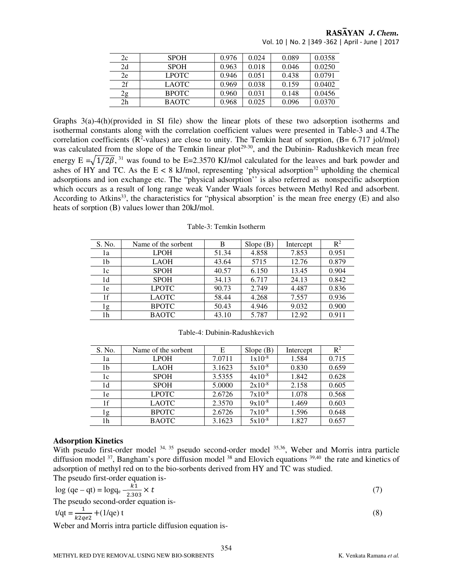| 2c             | <b>SPOH</b>  | 0.976 | 0.024 | 0.089 | 0.0358 |
|----------------|--------------|-------|-------|-------|--------|
| 2d             | <b>SPOH</b>  | 0.963 | 0.018 | 0.046 | 0.0250 |
| 2e             | <b>LPOTC</b> | 0.946 | 0.051 | 0.438 | 0.0791 |
| 2f             | <b>LAOTC</b> | 0.969 | 0.038 | 0.159 | 0.0402 |
| 2g             | <b>BPOTC</b> | 0.960 | 0.031 | 0.148 | 0.0456 |
| 2 <sub>h</sub> | <b>BAOTC</b> | 0.968 | 0.025 | 0.096 | 0.0370 |

RASAYAN J. Chem. Vol. 10 | No. 2 |349 -362 | April - June | 2017

Graphs 3(a)-4(h)(provided in SI file) show the linear plots of these two adsorption isotherms and isothermal constants along with the correlation coefficient values were presented in Table-3 and 4.The correlation coefficients ( $\mathbb{R}^2$ -values) are close to unity. The Temkin heat of sorption, ( $\mathbb{B} = 6.717$  jol/mol) was calculated from the slope of the Temkin linear plot<sup>29-30</sup>, and the Dubinin- Radushkevich mean free energy  $E = \sqrt{1/2\beta}$ , <sup>31</sup> was found to be E=2.3570 KJ/mol calculated for the leaves and bark powder and ashes of HY and TC. As the  $E < 8$  kJ/mol, representing 'physical adsorption<sup>32</sup> upholding the chemical adsorptions and ion exchange etc. The "physical adsorption'' is also referred as nonspecific adsorption which occurs as a result of long range weak Vander Waals forces between Methyl Red and adsorbent. According to Atkins<sup>33</sup>, the characteristics for "physical absorption" is the mean free energy  $(E)$  and also heats of sorption (B) values lower than 20kJ/mol.

| S. No. | Name of the sorbent | B     | Slope $(B)$ | Intercept | $\mathbb{R}^2$ |
|--------|---------------------|-------|-------------|-----------|----------------|
| 1a     | <b>LPOH</b>         | 51.34 | 4.858       | 7.853     | 0.951          |
| 1b     | <b>LAOH</b>         | 43.64 | 5715        | 12.76     | 0.879          |
| 1c     | <b>SPOH</b>         | 40.57 | 6.150       | 13.45     | 0.904          |
| 1d     | <b>SPOH</b>         | 34.13 | 6.717       | 24.13     | 0.842          |
| 1e     | <b>LPOTC</b>        | 90.73 | 2.749       | 4.487     | 0.836          |
| 1f     | <b>LAOTC</b>        | 58.44 | 4.268       | 7.557     | 0.936          |
| 1g     | <b>BPOTC</b>        | 50.43 | 4.946       | 9.032     | 0.900          |
| 1h     | <b>BAOTC</b>        | 43.10 | 5.787       | 12.92     | 0.911          |

Table-3: Temkin Isotherm

| S. No. | Name of the sorbent | E      | Slope(B)    | Intercept | R <sup>2</sup> |
|--------|---------------------|--------|-------------|-----------|----------------|
| 1a     | <b>LPOH</b>         | 7.0711 | $1x10^{-8}$ | 1.584     | 0.715          |
| 1b     | <b>LAOH</b>         | 3.1623 | $5x10^{-8}$ | 0.830     | 0.659          |
| 1c     | <b>SPOH</b>         | 3.5355 | $4x10^{-8}$ | 1.842     | 0.628          |
| 1d     | <b>SPOH</b>         | 5.0000 | $2x10^{-8}$ | 2.158     | 0.605          |
| 1e     | <b>LPOTC</b>        | 2.6726 | $7x10^{-8}$ | 1.078     | 0.568          |
| 1f     | <b>LAOTC</b>        | 2.3570 | $9x10^{-8}$ | 1.469     | 0.603          |
| 1g     | <b>BPOTC</b>        | 2.6726 | $7x10^{-8}$ | 1.596     | 0.648          |
| 1h     | <b>BAOTC</b>        | 3.1623 | $5x10^{-8}$ | 1.827     | 0.657          |

Table-4: Dubinin-Radushkevich

#### **Adsorption Kinetics**

With pseudo first-order model <sup>34, 35</sup> pseudo second-order model <sup>35,36</sup>, Weber and Morris intra particle diffusion model  $37$ , Bangham's pore diffusion model  $38$  and Elovich equations  $39,40$  the rate and kinetics of adsorption of methyl red on to the bio-sorbents derived from HY and TC was studied.

The pseudo first-order equation is-

$$
log (qe - qt) = log q_e - \frac{k1}{2.303} \times t
$$
  
The pseudo second-order equation is-  

$$
t/dt = \frac{1}{k2qe^2} + (1/qe) t
$$
 (3)

Weber and Morris intra particle diffusion equation is-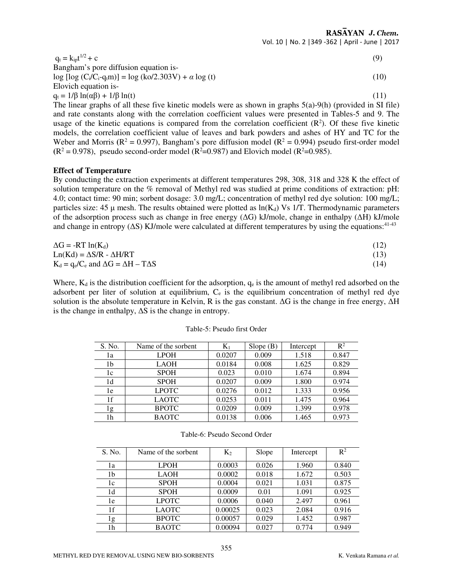RASAYAN J. Chem. Vol. 10 | No. 2 |349 -362 | April - June | 2017

| $q_t = k_{in}t^{1/2} + c$                                            | (9)  |
|----------------------------------------------------------------------|------|
| Bangham's pore diffusion equation is-                                |      |
| $\log [\log (C_i/C_i-q_t m)] = \log (k_0/2.303 V) + \alpha \log (t)$ | (10) |
| Elovich equation is-                                                 |      |
| $q_t = 1/\beta \ln(\alpha\beta) + 1/\beta \ln(t)$                    |      |

The linear graphs of all these five kinetic models were as shown in graphs 5(a)-9(h) (provided in SI file) and rate constants along with the correlation coefficient values were presented in Tables-5 and 9. The usage of the kinetic equations is compared from the correlation coefficient  $(R<sup>2</sup>)$ . Of these five kinetic models, the correlation coefficient value of leaves and bark powders and ashes of HY and TC for the Weber and Morris  $(R^2 = 0.997)$ , Bangham's pore diffusion model  $(R^2 = 0.994)$  pseudo first-order model  $(R^2 = 0.978)$ , pseudo second-order model  $(R^2 = 0.987)$  and Elovich model  $(R^2 = 0.985)$ .

#### **Effect of Temperature**

By conducting the extraction experiments at different temperatures 298, 308, 318 and 328 K the effect of solution temperature on the % removal of Methyl red was studied at prime conditions of extraction: pH: 4.0; contact time: 90 min; sorbent dosage: 3.0 mg/L; concentration of methyl red dye solution: 100 mg/L; particles size: 45  $\mu$  mesh. The results obtained were plotted as  $ln(K_d)$  Vs 1/T. Thermodynamic parameters of the adsorption process such as change in free energy (∆G) kJ/mole, change in enthalpy (∆H) kJ/mole and change in entropy ( $\Delta S$ ) KJ/mole were calculated at different temperatures by using the equations:<sup>41-43</sup>

| $\Delta G = -RT \ln(K_d)$                             | (12) |
|-------------------------------------------------------|------|
| $Ln(Kd) = \Delta S/R - \Delta H/RT$                   | (13) |
| $K_d = q_e/C_e$ and $\Delta G = \Delta H - T\Delta S$ | (14) |

Where,  $K_d$  is the distribution coefficient for the adsorption,  $q_e$  is the amount of methyl red adsorbed on the adsorbent per liter of solution at equilibrium, Ce is the equilibrium concentration of methyl red dye solution is the absolute temperature in Kelvin, R is the gas constant. ∆G is the change in free energy, ∆H is the change in enthalpy, ∆S is the change in entropy.

| S. No. | Name of the sorbent | $\mathbf{K}_1$ | Slope $(B)$ | Intercept | $R^2$ |
|--------|---------------------|----------------|-------------|-----------|-------|
| 1a     | <b>LPOH</b>         | 0.0207         | 0.009       | 1.518     | 0.847 |
| 1b     | <b>LAOH</b>         | 0.0184         | 0.008       | 1.625     | 0.829 |
| 1c     | <b>SPOH</b>         | 0.023          | 0.010       | 1.674     | 0.894 |
| 1d     | <b>SPOH</b>         | 0.0207         | 0.009       | 1.800     | 0.974 |
| 1e     | <b>LPOTC</b>        | 0.0276         | 0.012       | 1.333     | 0.956 |
| 1f     | <b>LAOTC</b>        | 0.0253         | 0.011       | 1.475     | 0.964 |
| 1g     | <b>BPOTC</b>        | 0.0209         | 0.009       | 1.399     | 0.978 |
| 1h     | <b>BAOTC</b>        | 0.0138         | 0.006       | 1.465     | 0.973 |

Table-5: Pseudo first Order

| 0.026<br><b>LPOH</b><br>0.0003<br>1.960<br>1a<br><b>LAOH</b><br>0.0002<br>0.018<br>1.672<br>1b<br><b>SPOH</b><br>0.0004<br>0.021<br>1.031<br>1c<br><b>SPOH</b><br>0.0009<br>1.091<br>1d<br>0.01<br><b>LPOTC</b><br>0.0006<br>0.040<br>2.497<br>1e | S. No. | Name of the sorbent | $K_2$ | Slope | Intercept | $R^2$ |
|---------------------------------------------------------------------------------------------------------------------------------------------------------------------------------------------------------------------------------------------------|--------|---------------------|-------|-------|-----------|-------|
|                                                                                                                                                                                                                                                   |        |                     |       |       |           | 0.840 |
|                                                                                                                                                                                                                                                   |        |                     |       |       |           | 0.503 |
|                                                                                                                                                                                                                                                   |        |                     |       |       |           | 0.875 |
|                                                                                                                                                                                                                                                   |        |                     |       |       |           | 0.925 |
|                                                                                                                                                                                                                                                   |        |                     |       |       |           | 0.961 |
| 1f<br><b>LAOTC</b><br>0.00025<br>0.023<br>2.084                                                                                                                                                                                                   |        |                     |       |       |           | 0.916 |
| <b>BPOTC</b><br>0.00057<br>0.029<br>1.452<br>1g                                                                                                                                                                                                   |        |                     |       |       |           | 0.987 |
| <b>BAOTC</b><br>0.00094<br>0.027<br>0.774<br>1h                                                                                                                                                                                                   |        |                     |       |       |           | 0.949 |

#### Table-6: Pseudo Second Order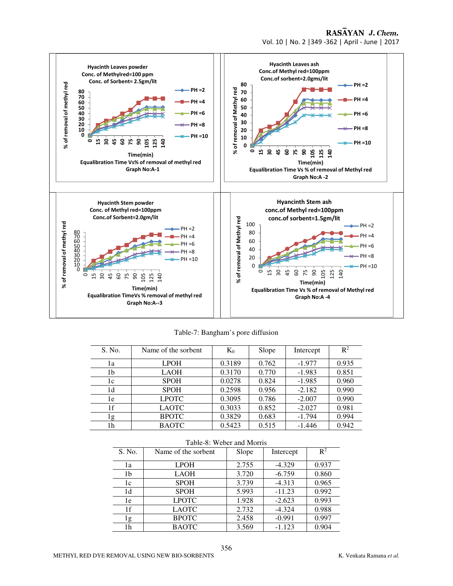Vol. 10 | No. 2 |349 -362 | April - June | 2017



Table-7: Bangham's pore diffusion

| S. No. | Name of the sorbent | $K_0$  | Slope | Intercept | $\mathbb{R}^2$ |
|--------|---------------------|--------|-------|-----------|----------------|
| ıа     | <b>LPOH</b>         | 0.3189 | 0.762 | $-1.977$  | 0.935          |
| 1b     | <b>LAOH</b>         | 0.3170 | 0.770 | $-1.983$  | 0.851          |
| 1c     | <b>SPOH</b>         | 0.0278 | 0.824 | $-1.985$  | 0.960          |
| 1d     | <b>SPOH</b>         | 0.2598 | 0.956 | $-2.182$  | 0.990          |
| 1e     | <b>LPOTC</b>        | 0.3095 | 0.786 | $-2.007$  | 0.990          |
| 1f     | <b>LAOTC</b>        | 0.3033 | 0.852 | $-2.027$  | 0.981          |
| l g    | <b>BPOTC</b>        | 0.3829 | 0.683 | $-1.794$  | 0.994          |
| 1h     | <b>BAOTC</b>        | 0.5423 | 0.515 | $-1.446$  | 0.942          |

|        | Table-8: Weber and Morris |       |           |                |  |  |  |
|--------|---------------------------|-------|-----------|----------------|--|--|--|
| S. No. | Name of the sorbent       | Slope | Intercept | $\mathbb{R}^2$ |  |  |  |
| 1a     | <b>LPOH</b>               | 2.755 | $-4.329$  | 0.937          |  |  |  |
| 1b     | <b>LAOH</b>               | 3.720 | $-6.759$  | 0.860          |  |  |  |
| 1c     | <b>SPOH</b>               | 3.739 | $-4.313$  | 0.965          |  |  |  |
| 1d     | <b>SPOH</b>               | 5.993 | $-11.23$  | 0.992          |  |  |  |
| 1e     | <b>LPOTC</b>              | 1.928 | $-2.623$  | 0.993          |  |  |  |
| 1f     | <b>LAOTC</b>              | 2.732 | $-4.324$  | 0.988          |  |  |  |
| 1g     | <b>BPOTC</b>              | 2.458 | $-0.991$  | 0.997          |  |  |  |
| 1h     | <b>BAOTC</b>              | 3.569 | $-1.123$  | 0.904          |  |  |  |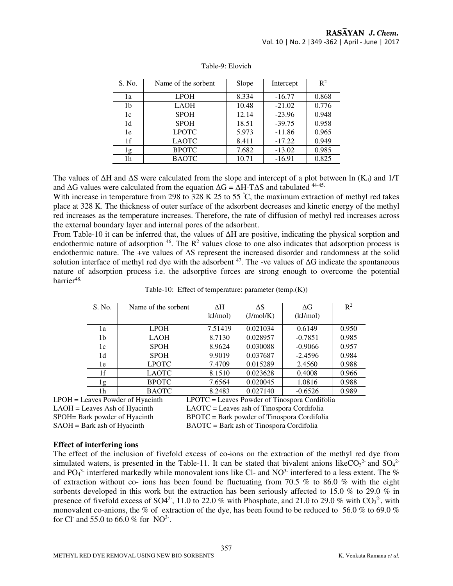| S. No. | Name of the sorbent | Slope | Intercept | $\mathbb{R}^2$ |
|--------|---------------------|-------|-----------|----------------|
| 1a     | <b>LPOH</b>         | 8.334 | $-16.77$  | 0.868          |
| 1b     | <b>LAOH</b>         | 10.48 | $-21.02$  | 0.776          |
| 1c     | <b>SPOH</b>         | 12.14 | $-23.96$  | 0.948          |
| 1d     | <b>SPOH</b>         | 18.51 | $-39.75$  | 0.958          |
| 1e     | <b>LPOTC</b>        | 5.973 | $-11.86$  | 0.965          |
| 1f     | <b>LAOTC</b>        | 8.411 | $-17.22$  | 0.949          |
| l g    | <b>BPOTC</b>        | 7.682 | $-13.02$  | 0.985          |
| 1h     | <b>BAOTC</b>        | 10.71 | $-16.91$  | 0.825          |

Table-9: Elovich

The values of  $\Delta H$  and  $\Delta S$  were calculated from the slope and intercept of a plot between ln (K<sub>d</sub>) and 1/T and  $\Delta G$  values were calculated from the equation  $\Delta G = \Delta H - T \Delta S$  and tabulated <sup>44-45.</sup>

With increase in temperature from 298 to 328 K 25 to 55 °C, the maximum extraction of methyl red takes place at 328 K. The thickness of outer surface of the adsorbent decreases and kinetic energy of the methyl red increases as the temperature increases. Therefore, the rate of diffusion of methyl red increases across the external boundary layer and internal pores of the adsorbent.

From Table-10 it can be inferred that, the values of ∆H are positive, indicating the physical sorption and endothermic nature of adsorption  $46$ . The  $\mathbb{R}^2$  values close to one also indicates that adsorption process is endothermic nature. The +ve values of ∆S represent the increased disorder and randomness at the solid solution interface of methyl red dye with the adsorbent <sup>47</sup>. The -ve values of ∆G indicate the spontaneous nature of adsorption process i.e. the adsorptive forces are strong enough to overcome the potential barrier<sup>48.</sup>

|                                   | S. No.             | Name of the sorbent | ΔH                                            | $\Delta S$ | $\Delta G$ | $\mathbb{R}^2$ |  |  |
|-----------------------------------|--------------------|---------------------|-----------------------------------------------|------------|------------|----------------|--|--|
|                                   |                    |                     | kJ/mol)                                       | (J/mol/K)  | (kJ/mol)   |                |  |  |
|                                   | <b>LPOH</b><br>1a  |                     | 7.51419                                       | 0.021034   | 0.6149     | 0.950          |  |  |
| <b>LAOH</b><br>1b                 |                    |                     | 8.7130                                        | 0.028957   | $-0.7851$  | 0.985          |  |  |
| <b>SPOH</b><br>1c                 |                    |                     | 8.9624                                        | 0.030088   | $-0.9066$  | 0.957          |  |  |
|                                   | <b>SPOH</b><br>1d  |                     | 9.9019                                        | 0.037687   | $-2.4596$  | 0.984          |  |  |
|                                   | <b>LPOTC</b><br>1e |                     | 7.4709                                        | 0.015289   | 2.4560     | 0.988          |  |  |
|                                   | <b>LAOTC</b><br>1f |                     | 8.1510                                        | 0.023628   | 0.4008     | 0.966          |  |  |
| <b>BPOTC</b><br>1g                |                    |                     | 7.6564                                        | 0.020045   | 1.0816     | 0.988          |  |  |
|                                   | 1h                 | <b>BAOTC</b>        | 8.2483                                        | 0.027140   | $-0.6526$  | 0.989          |  |  |
| $LPOH = Leaves Power of Hvacinth$ |                    |                     | LPOTC = Leaves Powder of Tinospora Cordifolia |            |            |                |  |  |

|  |  | Table-10: Effect of temperature: parameter (temp.(K)) |  |  |
|--|--|-------------------------------------------------------|--|--|
|--|--|-------------------------------------------------------|--|--|

LAOH = Leaves Ash of Hyacinth LAOTC = Leaves ash of Tinospora Cordifolia SPOH= Bark powder of Hyacinth BPOTC = Bark powder of Tinospora Cordifolia SAOH = Bark ash of Hyacinth BAOTC = Bark ash of Tinospora Cordifolia

#### **Effect of interfering ions**

The effect of the inclusion of fivefold excess of co-ions on the extraction of the methyl red dye from simulated waters, is presented in the Table-11. It can be stated that bivalent anions like  $CO_3^2$  and  $SO_4^2$ and PO<sub>4</sub><sup>3-</sup> interfered markedly while monovalent ions like Cl- and NO<sup>3-</sup> interfered to a less extent. The % of extraction without co- ions has been found be fluctuating from 70.5 % to 86.0 % with the eight sorbents developed in this work but the extraction has been seriously affected to 15.0 % to 29.0 % in presence of fivefold excess of SO4<sup>2</sup>, 11.0 to 22.0 % with Phosphate, and 21.0 to 29.0 % with  $CO<sub>3</sub><sup>2</sup>$ , with monovalent co-anions, the % of extraction of the dye, has been found to be reduced to 56.0 % to 69.0 % for Cl<sup>-</sup> and 55.0 to 66.0 % for NO<sup>3-</sup>.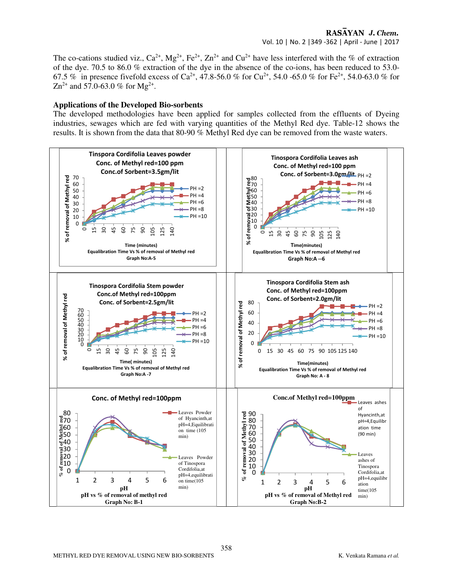The co-cations studied viz.,  $Ca^{2+}$ ,  $Mg^{2+}$ ,  $Fe^{2+}$ ,  $Zn^{2+}$  and  $Cu^{2+}$  have less interfered with the % of extraction of the dye. 70.5 to 86.0 % extraction of the dye in the absence of the co-ions, has been reduced to 53.0- 67.5 % in presence fivefold excess of Ca<sup>2+</sup>, 47.8-56.0 % for Cu<sup>2+</sup>, 54.0 -65.0 % for Fe<sup>2+</sup>, 54.0-63.0 % for  $\text{Zn}^{2+}$  and 57.0-63.0 % for Mg<sup>2+</sup>.

#### **Applications of the Developed Bio-sorbents**

The developed methodologies have been applied for samples collected from the effluents of Dyeing industries, sewages which are fed with varying quantities of the Methyl Red dye. Table-12 shows the results. It is shown from the data that 80-90 % Methyl Red dye can be removed from the waste waters.

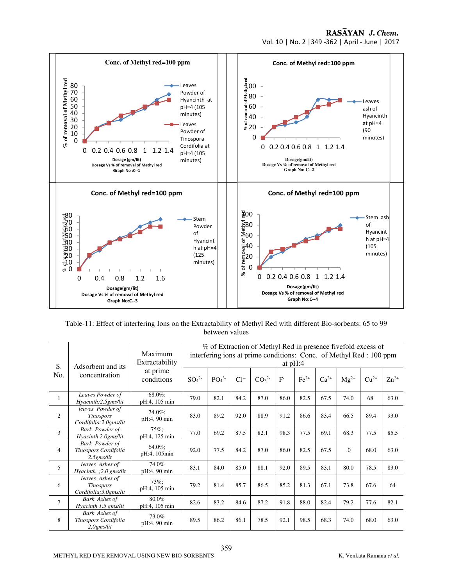Vol. 10 | No. 2 |349 -362 | April - June | 2017



Table-11: Effect of interfering Ions on the Extractability of Methyl Red with different Bio-sorbents: 65 to 99 between values

| S.             | Adsorbent and its<br>concentration                            | Maximum<br>Extractability<br>at prime<br>conditions | % of Extraction of Methyl Red in presence fivefold excess of<br>interfering ions at prime conditions: Conc. of Methyl Red: 100 ppm<br>at $pH:4$ |                              |        |                              |       |        |           |           |        |           |
|----------------|---------------------------------------------------------------|-----------------------------------------------------|-------------------------------------------------------------------------------------------------------------------------------------------------|------------------------------|--------|------------------------------|-------|--------|-----------|-----------|--------|-----------|
| No.            |                                                               |                                                     | SO <sub>4</sub> <sup>2</sup>                                                                                                                    | PO <sub>4</sub> <sup>3</sup> | $Cl^-$ | CO <sub>3</sub> <sup>2</sup> | $F -$ | $Fe2+$ | $Ca^{2+}$ | $Mg^{2+}$ | $Cu2+$ | $Zn^{2+}$ |
| $\mathbf{1}$   | Leaves Powder of<br>Hyacinth:2.5gms/lit                       | 68.0%;<br>pH:4, 105 min                             | 79.0                                                                                                                                            | 82.1                         | 84.2   | 87.0                         | 86.0  | 82.5   | 67.5      | 74.0      | 68.    | 63.0      |
| $\overline{c}$ | leaves Powder of<br><b>Tinospors</b><br>Cordifolia:2.0gms/lit | 74.0%;<br>pH:4, 90 min                              | 83.0                                                                                                                                            | 89.2                         | 92.0   | 88.9                         | 91.2  | 86.6   | 83.4      | 66.5      | 89.4   | 93.0      |
| 3              | <b>Bark Powder of</b><br>Hyacinth 2.0gms/lit                  | 75%;<br>pH:4, 125 min                               | 77.0                                                                                                                                            | 69.2                         | 87.5   | 82.1                         | 98.3  | 77.5   | 69.1      | 68.3      | 77.5   | 85.5      |
| 4              | Bark Powder of<br>Tinospors Cordifolia<br>$2.5$ gms/lit       | 64.0%;<br>pH:4, 105min                              | 92.0                                                                                                                                            | 77.5                         | 84.2   | 87.0                         | 86.0  | 82.5   | 67.5      | $\Omega$  | 68.0   | 63.0      |
| 5              | leaves Ashes of<br>Hyacinth ;2.0 gms/lit                      | 74.0%<br>pH:4, 90 min                               | 83.1                                                                                                                                            | 84.0                         | 85.0   | 88.1                         | 92.0  | 89.5   | 83.1      | 80.0      | 78.5   | 83.0      |
| 6              | leaves Ashes of<br><b>Tinospors</b><br>Cordifolia; 3.0gms/lit | $73\%$ ;<br>pH:4, 105 min                           | 79.2                                                                                                                                            | 81.4                         | 85.7   | 86.5                         | 85.2  | 81.3   | 67.1      | 73.8      | 67.6   | 64        |
| $\overline{7}$ | <b>Bark Ashes of</b><br>Hyacinth 1.5 gms/lit                  | 80.0%<br>pH:4, 105 min                              | 82.6                                                                                                                                            | 83.2                         | 84.6   | 87.2                         | 91.8  | 88.0   | 82.4      | 79.2      | 77.6   | 82.1      |
| 8              | <b>Bark Ashes of</b><br>Tinospors Cordifolia<br>$2.0$ gms/lit | 73.0%<br>pH:4, 90 min                               | 89.5                                                                                                                                            | 86.2                         | 86.1   | 78.5                         | 92.1  | 98.5   | 68.3      | 74.0      | 68.0   | 63.0      |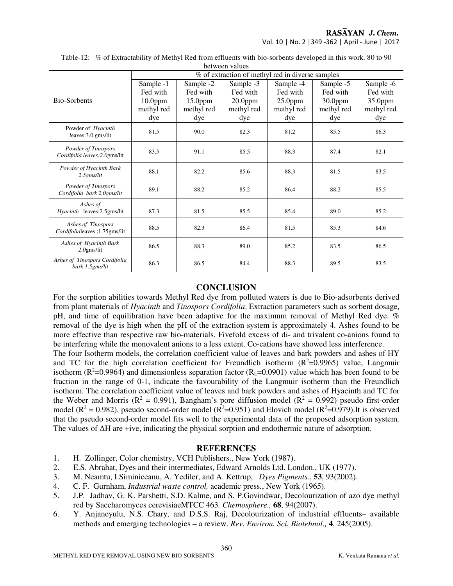Vol. 10 | No. 2 |349 -362 | April - June | 2017

| <b>DUIWULII VAIUUS</b>                               |                                                          |                                                          |                                                          |                                                          |                                                          |                                                       |  |  |
|------------------------------------------------------|----------------------------------------------------------|----------------------------------------------------------|----------------------------------------------------------|----------------------------------------------------------|----------------------------------------------------------|-------------------------------------------------------|--|--|
|                                                      | % of extraction of methyl red in diverse samples         |                                                          |                                                          |                                                          |                                                          |                                                       |  |  |
| <b>Bio-Sorbents</b>                                  | Sample -1<br>Fed with<br>$10.0$ ppm<br>methyl red<br>dye | Sample -2<br>Fed with<br>$15.0$ ppm<br>methyl red<br>dye | Sample -3<br>Fed with<br>$20.0$ ppm<br>methyl red<br>dye | Sample -4<br>Fed with<br>$25.0$ ppm<br>methyl red<br>dye | Sample -5<br>Fed with<br>$30.0$ ppm<br>methyl red<br>dye | Sample -6<br>Fed with<br>35.0ppm<br>methyl red<br>dye |  |  |
| Powder of Hyacinth<br>leaves:3.0 gms/lit             | 81.5                                                     | 90.0                                                     | 82.3                                                     | 81.2                                                     | 85.5                                                     | 86.3                                                  |  |  |
| Powder of Tinospors<br>Cordifolia leaves: 2.0gms/lit | 83.5                                                     | 91.1                                                     | 85.5                                                     | 88.3                                                     | 87.4                                                     | 82.1                                                  |  |  |
| Powder of Hyacinth Bark<br>$2.5$ gms/lit             | 88.1                                                     | 82.2                                                     | 85.6                                                     | 88.3                                                     | 81.5                                                     | 83.5                                                  |  |  |
| Powder of Tinospors<br>Cordifolia bark 2.0gms/lit    | 89.1                                                     | 88.2                                                     | 85.2                                                     | 86.4                                                     | 88.2                                                     | 85.5                                                  |  |  |
| Ashes of<br>Hyacinth leaves; 2.5gms/lit              | 87.3                                                     | 81.5                                                     | 85.5                                                     | 85.4                                                     | 89.0                                                     | 85.2                                                  |  |  |
| Ashes of Tinospors<br>Cordifolialeaves ;1.75gms/lit  | 88.5                                                     | 82.3                                                     | 86.4                                                     | 81.5                                                     | 85.3                                                     | 84.6                                                  |  |  |
| Ashes of Hyacinth Bark<br>$2.0$ gms/lit              | 86.5                                                     | 88.3                                                     | 89.0                                                     | 85.2                                                     | 83.5                                                     | 86.5                                                  |  |  |
| Ashes of Tinospors Cordifolia<br>bark 1.5gms/lit     | 86.3                                                     | 86.5                                                     | 84.4                                                     | 88.3                                                     | 89.5                                                     | 83.5                                                  |  |  |

Table-12: % of Extractability of Methyl Red from effluents with bio-sorbents developed in this work. 80 to 90 between values

## **CONCLUSION**

For the sorption abilities towards Methyl Red dye from polluted waters is due to Bio-adsorbents derived from plant materials of *Hyacinth* and *Tinospors Cordifolia*. Extraction parameters such as sorbent dosage, pH, and time of equilibration have been adaptive for the maximum removal of Methyl Red dye. % removal of the dye is high when the pH of the extraction system is approximately 4. Ashes found to be more effective than respective raw bio-materials. Fivefold excess of di- and trivalent co-anions found to be interfering while the monovalent anions to a less extent. Co-cations have showed less interference. The four Isotherm models, the correlation coefficient value of leaves and bark powders and ashes of HY and TC for the high correlation coefficient for Freundlich isotherm  $(R^2=0.9965)$  value, Langmuir isotherm ( $R^2$ =0.9964) and dimensionless separation factor ( $R_L$ =0.0901) value which has been found to be fraction in the range of 0-1, indicate the favourability of the Langmuir isotherm than the Freundlich isotherm. The correlation coefficient value of leaves and bark powders and ashes of Hyacinth and TC for the Weber and Morris ( $\mathbb{R}^2 = 0.991$ ), Bangham's pore diffusion model ( $\mathbb{R}^2 = 0.992$ ) pseudo first-order model ( $\mathbb{R}^2 = 0.982$ ), pseudo second-order model ( $\mathbb{R}^2 = 0.951$ ) and Elovich model ( $\mathbb{R}^2 = 0.979$ ). It is observed that the pseudo second-order model fits well to the experimental data of the proposed adsorption system. The values of ∆H are +ive, indicating the physical sorption and endothermic nature of adsorption.

#### **REFERENCES**

- 1. H. Zollinger, Color chemistry, VCH Publishers., New York (1987).
- 2. E.S. Abrahat, Dyes and their intermediates, Edward Arnolds Ltd. London., UK (1977).
- 3. M. Neamtu, I.Siminiceanu, A. Yediler, and A. Kettrup, *Dyes Pigments.*, **53**, 93(2002).
- 4. C. F. Gurnham, *Industrial waste control,* academic press*.*, New York (1965).
- 5. J.P. Jadhav, G. K. Parshetti, S.D. Kalme, and S. P.Govindwar, Decolourization of azo dye methyl red by Saccharomyces cerevisiaeMTCC 463*. Chemosphere.,* **68**, 94(2007).
- 6. Y. Anjaneyulu, N.S. Chary, and D.S.S. Raj, Decolourization of industrial effluents– available methods and emerging technologies – a review. *Rev. Environ. Sci. Biotehnol.,* **4**, 245(2005).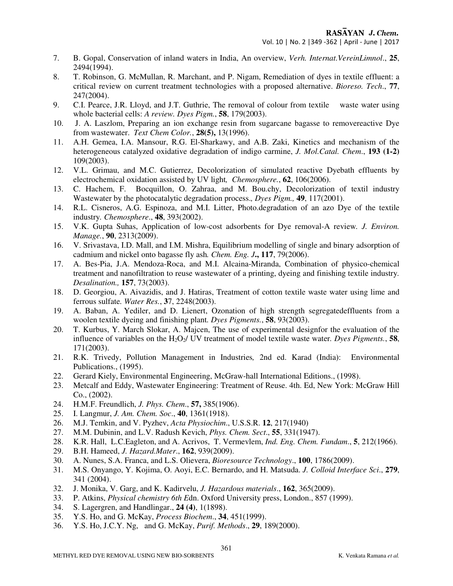- 7. B. Gopal, Conservation of inland waters in India, An overview, *Verh. Internat.VereinLimnol*., **25**, 2494(1994).
- 8. T. Robinson, G. McMullan, R. Marchant, and P. Nigam, Remediation of dyes in textile effluent: a critical review on current treatment technologies with a proposed alternative. *Bioreso. Tech*., **77**, 247(2004).
- 9. C.I. Pearce, J.R. Lloyd, and J.T. Guthrie, The removal of colour from textile waste water using whole bacterial cells: *A review. Dyes Pigm.*, **58**, 179(2003).
- 10. J. A. Laszlom, Preparing an ion exchange resin from sugarcane bagasse to removereactive Dye from wastewater. *Text Chem Color.*, **28(5),** 13(1996).
- 11. A.H. Gemea, I.A. Mansour, R.G. El-Sharkawy, and A.B. Zaki, Kinetics and mechanism of the heterogeneous catalyzed oxidative degradation of indigo carmine, *J. Mol.Catal. Chem*., **193 (1-2)**  109(2003).
- 12. V.L. Grimau, and M.C. Gutierrez, Decolorization of simulated reactive Dyebath effluents by electrochemical oxidation assisted by UV light*, Chemosphere.*, **62**, 106(2006).
- 13. C. Hachem, F. Bocquillon, O. Zahraa, and M. Bou.chy, Decolorization of textil industry Wastewater by the photocatalytic degradation process.*, Dyes Pigm.,* **49**, 117(2001).
- 14. R.L. Cisneros, A.G. Espinoza, and M.I. Litter, Photo.degradation of an azo Dye of the textile industry*. Chemosphere*., **48**, 393(2002).
- 15. V.K. Gupta Suhas, Application of low-cost adsorbents for Dye removal-A review*. J. Environ. Manage.*, **90**, 2313(2009).
- 16. V. Srivastava, I.D. Mall, and I.M. Mishra, Equilibrium modelling of single and binary adsorption of cadmium and nickel onto bagasse fly ash*. Chem. Eng. J***., 117**, 79(2006).
- 17. A. Bes-Pia, J.A. Mendoza-Roca, and M.I. Alcaina-Miranda, Combination of physico-chemical treatment and nanofiltration to reuse wastewater of a printing, dyeing and finishing textile industry*. Desalination.,* **157**, 73(2003).
- 18. D. Georgiou, A. Aivazidis, and J. Hatiras, Treatment of cotton textile waste water using lime and ferrous sulfate*. Water Res.*, **3**7, 2248(2003).
- 19. A. Baban, A. Yediler, and D. Lienert, Ozonation of high strength segregatedeffluents from a woolen textile dyeing and finishing plant*. Dyes Pigments.*, **58**, 93(2003).
- 20. T. Kurbus, Y. March Slokar, A. Majcen, The use of experimental designfor the evaluation of the influence of variables on the  $H_2O_2$ / UV treatment of model textile waste water. *Dyes Pigments.*, **58**, 171(2003).
- 21. R.K. Trivedy, Pollution Management in Industries*,* 2nd ed. Karad (India): Environmental Publications., (1995).
- 22. Gerard Kiely, Environmental Engineering, McGraw-hall International Editions., (1998).
- 23. Metcalf and Eddy, Wastewater Engineering: Treatment of Reuse. 4th. Ed, New York: McGraw Hill Co., (2002).
- 24. H.M.F. Freundlich, *J. Phys. Chem*., **57,** 385(1906).
- 25. I. Langmur, *J. Am. Chem. Soc*., **40**, 1361(1918).
- 26. M.J. Temkin, and V. Pyzhev, *Acta Physiochim*., U.S.S.R. **12**, 217(1940)
- 27. M.M. Dubinin, and L.V. Radush Kevich, *Phys. Chem. Sect*., **55**, 331(1947).
- 28. K.R. Hall, L.C.Eagleton, and A. Acrivos, T. Vermevlem, *Ind. Eng. Chem. Fundam*., **5**, 212(1966).
- 29. B.H. Hameed, *J. Hazard.Mater*., **162**, 939(2009).
- 30. A. Nunes, S.A. Franca, and L.S. Olievera, *Bioresource Technology*., **100**, 1786(2009).
- 31. M.S. Onyango, Y. Kojima, O. Aoyi, E.C. Bernardo, and H. Matsuda. *J. Colloid Interface Sci*., **279**, 341 (2004).
- 32. J. Monika, V. Garg, and K. Kadirvelu, *J. Hazardous materials*., **162**, 365(2009).
- 33. P. Atkins, *Physical chemistry 6th E*dn. Oxford University press, London., 857 (1999).
- 34. S. Lagergren, and Handlingar., **24 (4)**, 1(1898).
- 35. Y.S. Ho, and G. McKay, *Process Biochem*., **34**, 451(1999).
- 36. Y.S. Ho, J.C.Y. Ng, and G. McKay, *Purif. Methods*., **29**, 189(2000).